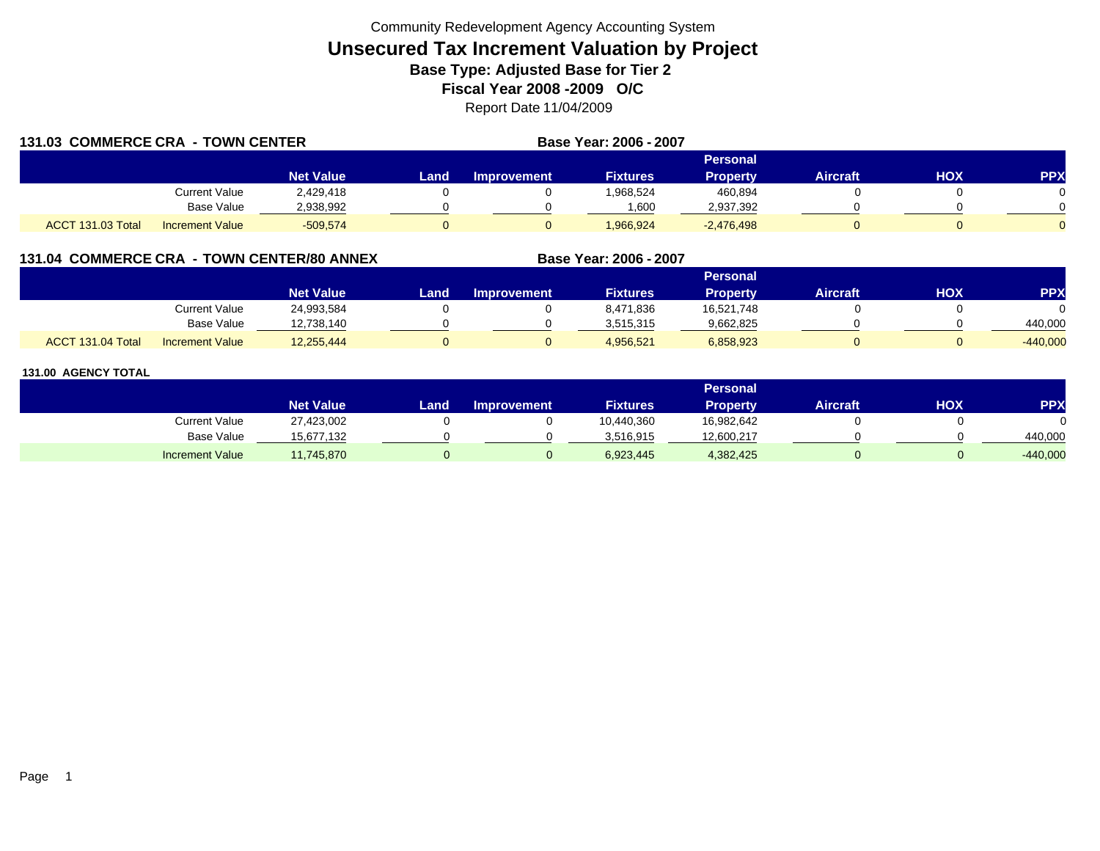|                   | 131.03 COMMERCE CRA - TOWN CENTER |                  |      | Base Year: 2006 - 2007 |                 |                 |                 |            |            |
|-------------------|-----------------------------------|------------------|------|------------------------|-----------------|-----------------|-----------------|------------|------------|
|                   |                                   |                  |      |                        |                 | <b>Personal</b> |                 |            |            |
|                   |                                   | <b>Net Value</b> | Land | <b>Improvement</b>     | <b>Fixtures</b> | <b>Property</b> | <b>Aircraft</b> | <b>HOX</b> | <b>PPX</b> |
|                   | Current Value                     | 2,429,418        |      |                        | 1,968,524       | 460,894         |                 |            |            |
|                   | Base Value                        | 2.938.992        |      |                        | 1.600           | 2,937,392       |                 |            |            |
| ACCT 131.03 Total | <b>Increment Value</b>            | $-509.574$       |      |                        | 1,966,924       | $-2,476,498$    |                 |            |            |

# **131.04 COMMERCE CRA - TOWN CENTER/80 ANNEX**

|                   |                        |                  |      |                    |                 | <b>Personal</b> |                 |     |            |
|-------------------|------------------------|------------------|------|--------------------|-----------------|-----------------|-----------------|-----|------------|
|                   |                        | <b>Net Value</b> | Land | <b>Improvement</b> | <b>Fixtures</b> | Property        | <b>Aircraft</b> | нох | PPX        |
|                   | <b>Current Value</b>   | 24,993,584       |      |                    | 8,471,836       | 16,521,748      |                 |     |            |
|                   | <b>Base Value</b>      | 12,738,140       |      |                    | 3.515.315       | 9,662,825       |                 |     | 440.000    |
| ACCT 131.04 Total | <b>Increment Value</b> | 12,255,444       |      |                    | 4,956,521       | 6,858,923       |                 |     | $-440,000$ |

**Base Year: 2006 - 2007**

|                        |                  |      |                    |                 | Personal        |                 |     |            |
|------------------------|------------------|------|--------------------|-----------------|-----------------|-----------------|-----|------------|
|                        | <b>Net Value</b> | Land | <b>Improvement</b> | <b>Fixtures</b> | <b>Property</b> | <b>Aircraft</b> | нох | <b>PPX</b> |
| Current Value          | 27,423,002       |      |                    | 10,440,360      | 16,982,642      |                 |     |            |
| Base Value             | 15,677,132       |      |                    | 3,516,915       | 12,600,217      |                 |     | 440,000    |
| <b>Increment Value</b> | 11,745,870       |      |                    | 6,923,445       | 4,382,425       |                 |     | $-440,000$ |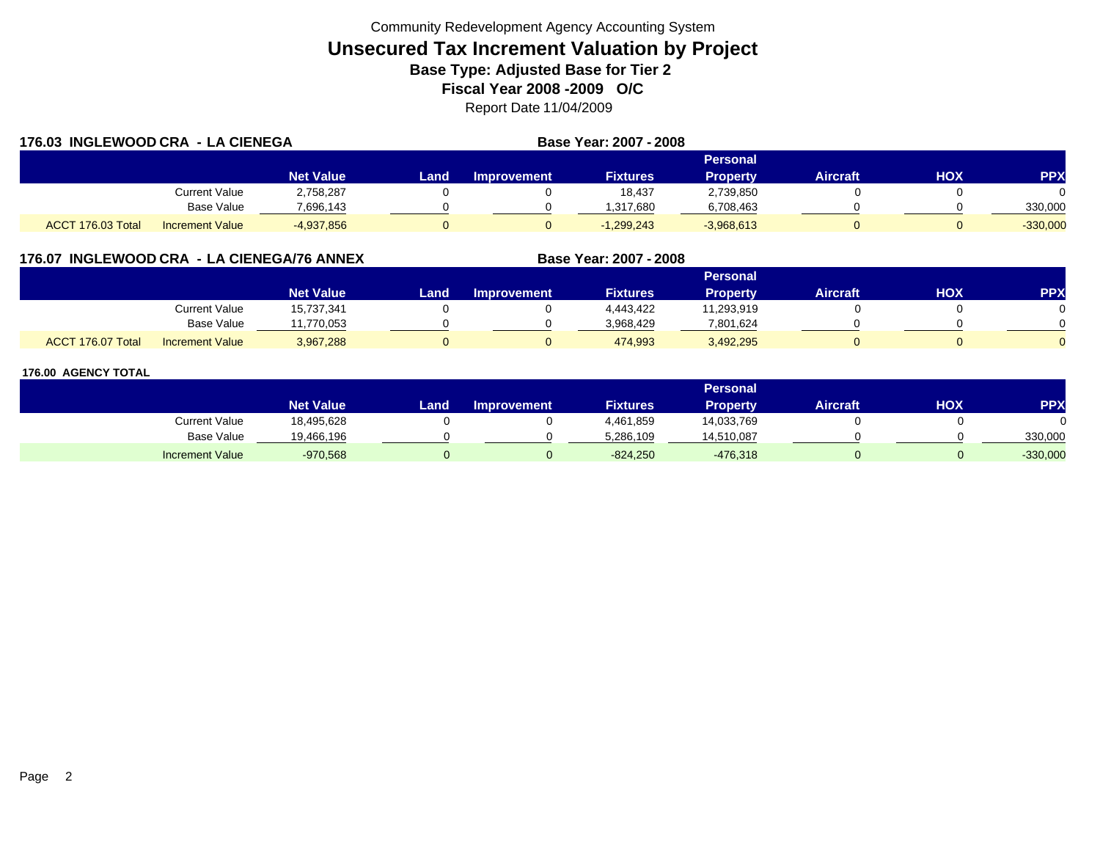|                   | 176.03 INGLEWOOD CRA - LA CIENEGA |                  |      |             | Base Year: 2007 - 2008 |                 |          |            |            |
|-------------------|-----------------------------------|------------------|------|-------------|------------------------|-----------------|----------|------------|------------|
|                   |                                   |                  |      |             |                        | <b>Personal</b> |          |            |            |
|                   |                                   | <b>Net Value</b> | Land | Improvement | <b>Fixtures</b>        | <b>Property</b> | Aircraft | <b>HOX</b> | <b>PPX</b> |
|                   | Current Value                     | 2,758,287        |      |             | 18.437                 | 2,739,850       |          |            |            |
|                   | Base Value                        | 7,696,143        |      |             | .317,680               | 6,708,463       |          |            | 330,000    |
| ACCT 176.03 Total | <b>Increment Value</b>            | $-4,937,856$     |      |             | $-1,299,243$           | $-3,968,613$    |          |            | $-330,000$ |

## **176.07 INGLEWOOD CRA - LA CIENEGA/76 ANNEX**

|                   |                        |                  |      |                    |                 | Personal        |                 |     |     |
|-------------------|------------------------|------------------|------|--------------------|-----------------|-----------------|-----------------|-----|-----|
|                   |                        | <b>Net Value</b> | Land | <b>Improvement</b> | <b>Fixtures</b> | <b>Property</b> | <b>Aircraft</b> | нох | PPX |
|                   | <b>Current Value</b>   | 15,737,341       |      |                    | 4,443,422       | 11,293,919      |                 |     |     |
|                   | <b>Base Value</b>      | 1.770.053        |      |                    | 3,968,429       | 801,624         |                 |     |     |
| ACCT 176.07 Total | <b>Increment Value</b> | 3,967,288        |      |                    | 474,993         | 3,492,295       |                 |     |     |

**Base Year: 2007 - 2008**

|                        |                  |      |                    |                 | <b>Personal</b> |                 |     |            |
|------------------------|------------------|------|--------------------|-----------------|-----------------|-----------------|-----|------------|
|                        | <b>Net Value</b> | Land | <b>Improvement</b> | <b>Fixtures</b> | <b>Property</b> | <b>Aircraft</b> | ΧΟΗ | <b>PP</b>  |
| Current Value          | 18,495,628       |      |                    | 4,461,859       | 14,033,769      |                 |     |            |
| <b>Base Value</b>      | 19,466,196       |      |                    | 5,286,109       | 14,510,087      |                 |     | 330,000    |
| <b>Increment Value</b> | $-970,568$       |      |                    | $-824,250$      | $-476,318$      |                 |     | $-330,000$ |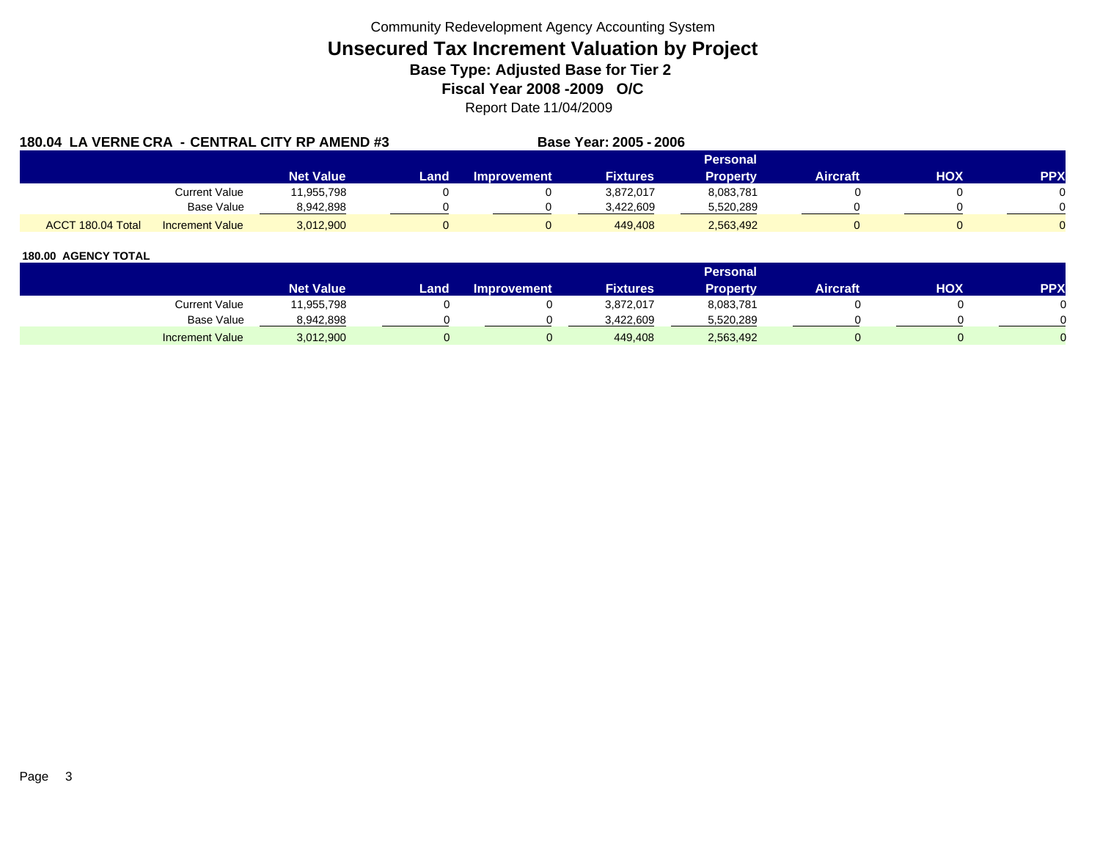|                   |                        | 180.04 LA VERNE CRA - CENTRAL CITY RP AMEND #3 | Base Year: 2005 - 2006 |             |                 |                 |                 |            |            |
|-------------------|------------------------|------------------------------------------------|------------------------|-------------|-----------------|-----------------|-----------------|------------|------------|
|                   |                        |                                                |                        |             |                 | Personal        |                 |            |            |
|                   |                        | <b>Net Value</b>                               | Land                   | Improvement | <b>Fixtures</b> | <b>Property</b> | <b>Aircraft</b> | <b>HOX</b> | <b>PPX</b> |
|                   | Current Value          | 11,955,798                                     |                        |             | 3,872,017       | 8,083,781       |                 |            |            |
|                   | Base Value             | 8,942,898                                      |                        |             | 3.422.609       | 5,520,289       |                 |            |            |
| ACCT 180.04 Total | <b>Increment Value</b> | 3,012,900                                      |                        |             | 449.408         | 2,563,492       |                 |            |            |

|                        |                  |      |                    |                 | <b>Personal</b> |                 |     |     |
|------------------------|------------------|------|--------------------|-----------------|-----------------|-----------------|-----|-----|
|                        | <b>Net Value</b> | Land | <b>Improvement</b> | <b>Fixtures</b> | Property        | <b>Aircraft</b> | HOX | PPX |
| Current Value          | 1,955,798        |      |                    | 3,872,017       | 8,083,781       |                 |     |     |
| Base Value             | 8,942,898        |      |                    | 3.422.609       | 5,520,289       |                 |     |     |
| <b>Increment Value</b> | 3,012,900        |      |                    | 449,408         | 2,563,492       |                 |     |     |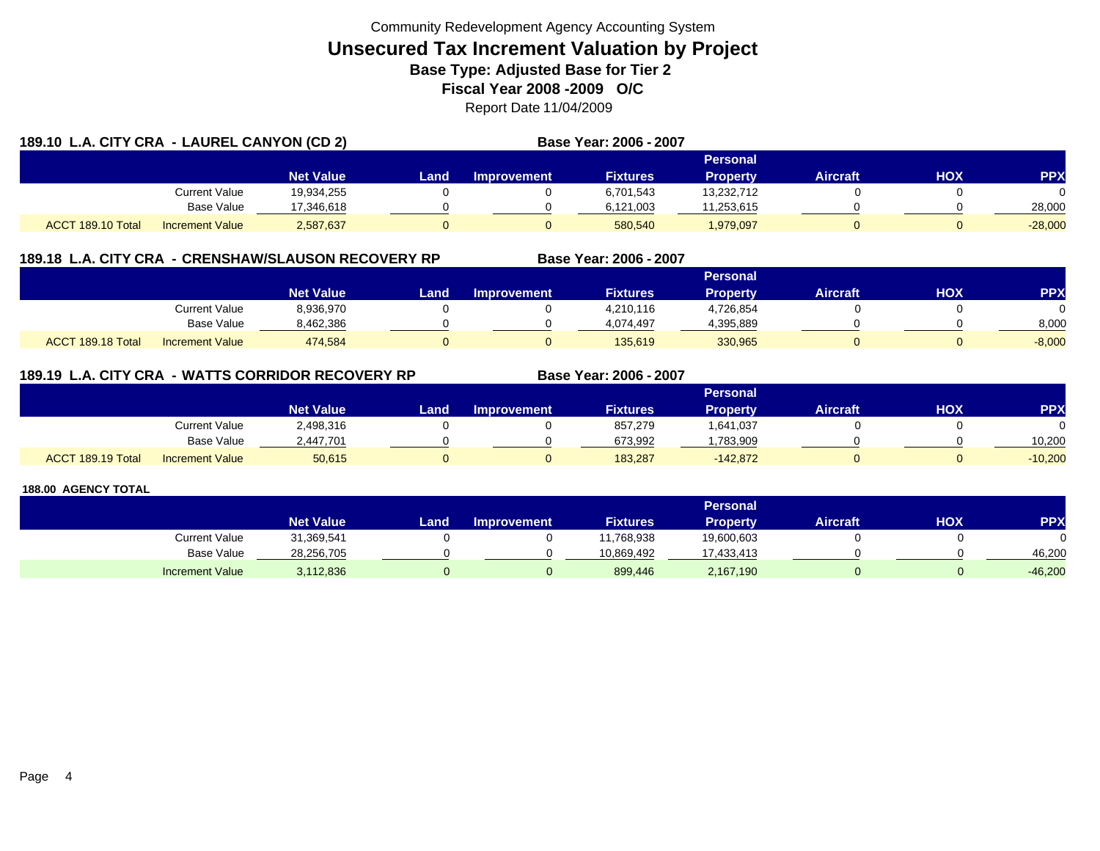| 189.10 L.A. CITY CRA - LAUREL CANYON (CD 2) |                        |                  |       |                    | Base Year: 2006 - 2007 |                 |                 |     |            |
|---------------------------------------------|------------------------|------------------|-------|--------------------|------------------------|-----------------|-----------------|-----|------------|
|                                             |                        |                  |       |                    |                        | Personal        |                 |     |            |
|                                             |                        | <b>Net Value</b> | Landı | <b>Improvement</b> | <b>Fixtures</b>        | <b>Property</b> | <b>Aircraft</b> | HOX | <b>PPX</b> |
|                                             | <b>Current Value</b>   | 19.934.255       |       |                    | 6,701,543              | 13,232,712      |                 |     |            |
|                                             | <b>Base Value</b>      | 17.346.618       |       |                    | 6,121,003              | 11,253,615      |                 |     | 28.000     |
| ACCT 189.10 Total                           | <b>Increment Value</b> | 2,587,637        |       |                    | 580.540                | 1,979,097       |                 |     | $-28.000$  |

## **189.18 L.A. CITY CRA - CRENSHAW/SLAUSON RECOVERY RP**

|                   |                        |                  |      |                    |                 | <b>Personal</b> |                 |            |          |
|-------------------|------------------------|------------------|------|--------------------|-----------------|-----------------|-----------------|------------|----------|
|                   |                        | <b>Net Value</b> | Land | <b>Improvement</b> | <b>Fixtures</b> | Propertv        | <b>Aircraft</b> | <b>HOX</b> | PPX      |
|                   | <b>Current Value</b>   | 8,936,970        |      |                    | 4,210,116       | 4,726,854       |                 |            |          |
|                   | <b>Base Value</b>      | 8,462,386        |      |                    | 4.074.497       | 4,395,889       |                 |            | 8,000    |
| ACCT 189.18 Total | <b>Increment Value</b> | 474,584          |      |                    | 135.619         | 330,965         |                 |            | $-8,000$ |

**Base Year: 2006 - 2007**

**Base Year: 2006 - 2007**

# **189.19 L.A. CITY CRA - WATTS CORRIDOR RECOVERY RP**

|                   |                        |                  |      |             |                 | Personal        |          |     |           |
|-------------------|------------------------|------------------|------|-------------|-----------------|-----------------|----------|-----|-----------|
|                   |                        | <b>Net Value</b> | Land | Improvement | <b>Fixtures</b> | <b>Property</b> | Aircraft | нох | PPX       |
|                   | <b>Current Value</b>   | 2,498,316        |      |             | 857,279         | 1,641,037       |          |     |           |
|                   | <b>Base Value</b>      | 2,447,701        |      |             | 673.992         | .783.909        |          |     | 10.200    |
| ACCT 189.19 Total | <b>Increment Value</b> | 50,615           |      |             | 183.287         | $-142.872$      |          |     | $-10,200$ |

|                        |                  |       |                    |                 | <b>Personal</b> |                 |            |            |
|------------------------|------------------|-------|--------------------|-----------------|-----------------|-----------------|------------|------------|
|                        | <b>Net Value</b> | Land, | <b>Improvement</b> | <b>Fixtures</b> | <b>Property</b> | <b>Aircraft</b> | <b>HOX</b> | <b>PPX</b> |
| Current Value          | 31,369,541       |       |                    | 1,768,938       | 19,600,603      |                 |            |            |
| Base Value             | 28,256,705       |       |                    | 10.869.492      | 17,433,413      |                 |            | 46.200     |
| <b>Increment Value</b> | 3,112,836        |       |                    | 899,446         | 2,167,190       |                 |            | $-46,200$  |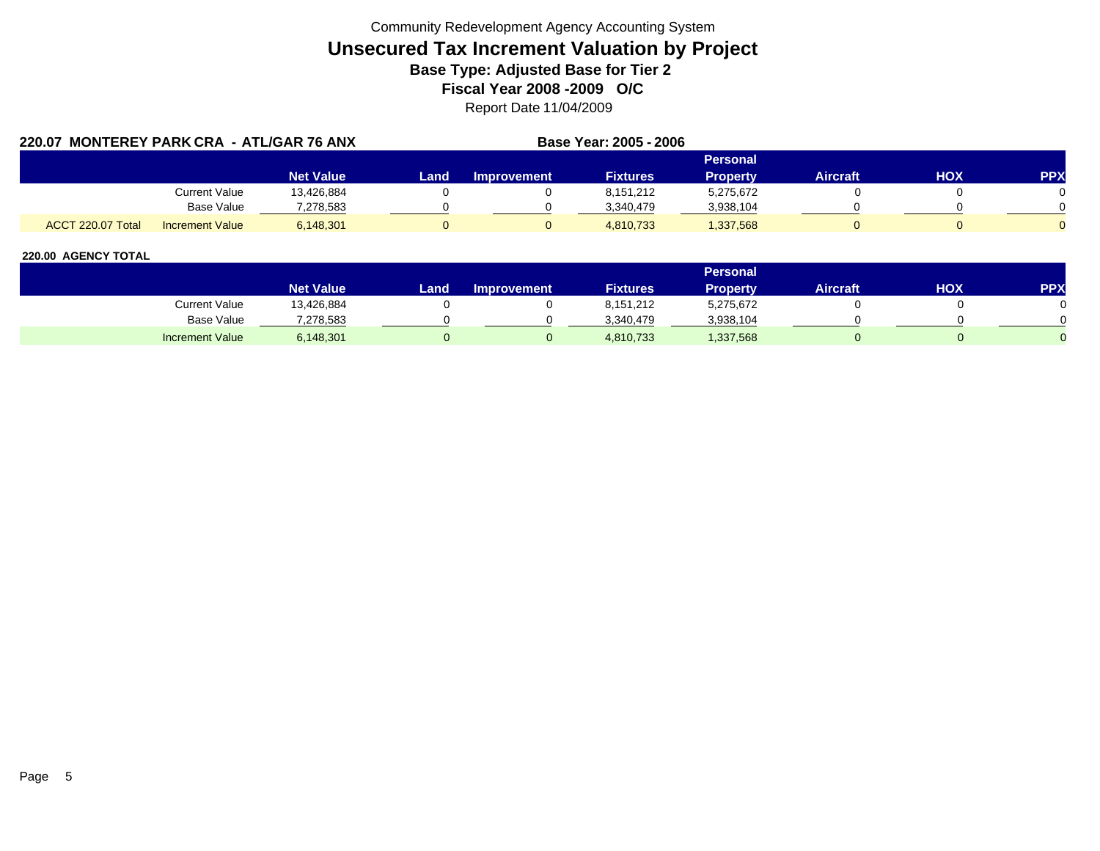| 220.07            | MONTEREY PARK CRA - ATL/GAR 76 ANX |                  |      | Base Year: 2005 - 2006 |                 |                 |          |     |            |
|-------------------|------------------------------------|------------------|------|------------------------|-----------------|-----------------|----------|-----|------------|
|                   |                                    |                  |      |                        |                 | Personal        |          |     |            |
|                   |                                    | <b>Net Value</b> | Land | <b>Improvement</b>     | <b>Fixtures</b> | <b>Property</b> | Aircraft | HOX | <b>PPX</b> |
|                   | <b>Current Value</b>               | 13.426.884       |      |                        | 8,151,212       | 5.275.672       |          |     |            |
|                   | Base Value                         | 7,278,583        |      |                        | 3,340,479       | 3,938,104       |          |     |            |
| ACCT 220.07 Total | <b>Increment Value</b>             | 6.148.301        |      |                        | 4,810,733       | 1,337,568       |          |     |            |

|                        |                  |        |                    |                 | Personal  |                 |     |            |
|------------------------|------------------|--------|--------------------|-----------------|-----------|-----------------|-----|------------|
|                        | <b>Net Value</b> | Land . | <b>Improvement</b> | <b>Fixtures</b> | Property  | <b>Aircraft</b> | ΗΟΧ | <b>PPX</b> |
| Current Value          | 13,426,884       |        |                    | 8,151,212       | 5,275,672 |                 |     |            |
| <b>Base Value</b>      | 278,583.         |        |                    | 3.340.479       | 3,938,104 |                 |     |            |
| <b>Increment Value</b> | 6,148,301        |        |                    | 4,810,733       | ,337,568  |                 |     |            |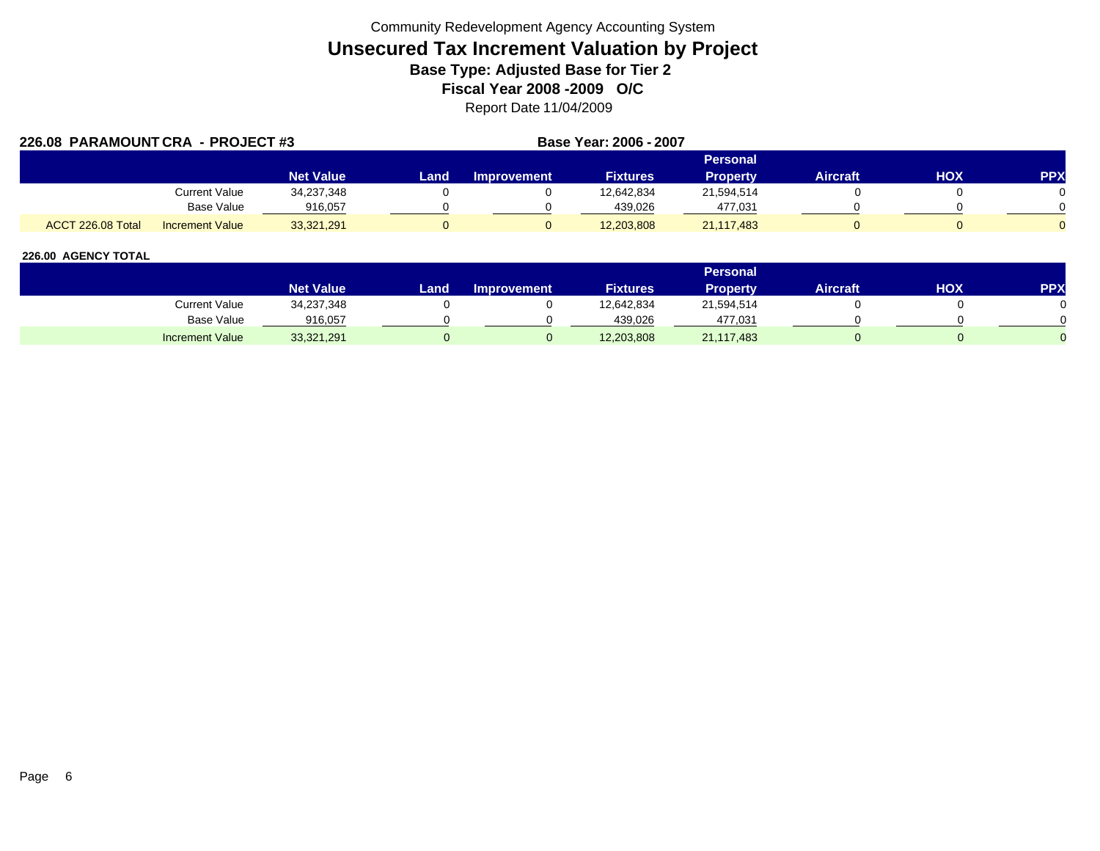| 226.08 PARAMOUNT CRA - PROJECT #3 |                        |                  |      | Base Year: 2006 - 2007 |                 |                 |                 |     |            |
|-----------------------------------|------------------------|------------------|------|------------------------|-----------------|-----------------|-----------------|-----|------------|
|                                   |                        |                  |      | Personal               |                 |                 |                 |     |            |
|                                   |                        | <b>Net Value</b> | Land | <b>Improvement</b>     | <b>Fixtures</b> | <b>Property</b> | <b>Aircraft</b> | ΗΟΧ | <b>PPX</b> |
|                                   | Current Value          | 34,237,348       |      |                        | 12.642.834      | 21,594,514      |                 |     |            |
|                                   | Base Value             | 916,057          |      |                        | 439.026         | 477,031         |                 |     |            |
| ACCT 226.08 Total                 | <b>Increment Value</b> | 33,321,291       |      |                        | 12,203,808      | 21,117,483      |                 |     |            |

|                        |                  |      |                    |                 | <b>Personal</b> |                 |            |     |
|------------------------|------------------|------|--------------------|-----------------|-----------------|-----------------|------------|-----|
|                        | <b>Net Value</b> | Land | <b>Improvement</b> | <b>Fixtures</b> | <b>Property</b> | <b>Aircraft</b> | <b>HOX</b> | PPX |
| <b>Current Value</b>   | 34,237,348       |      |                    | 12,642,834      | 21,594,514      |                 |            |     |
| <b>Base Value</b>      | 916,057          |      |                    | 439,026         | 477.031         |                 |            |     |
| <b>Increment Value</b> | 33,321,291       |      |                    | 12,203,808      | 21,117,483      |                 |            |     |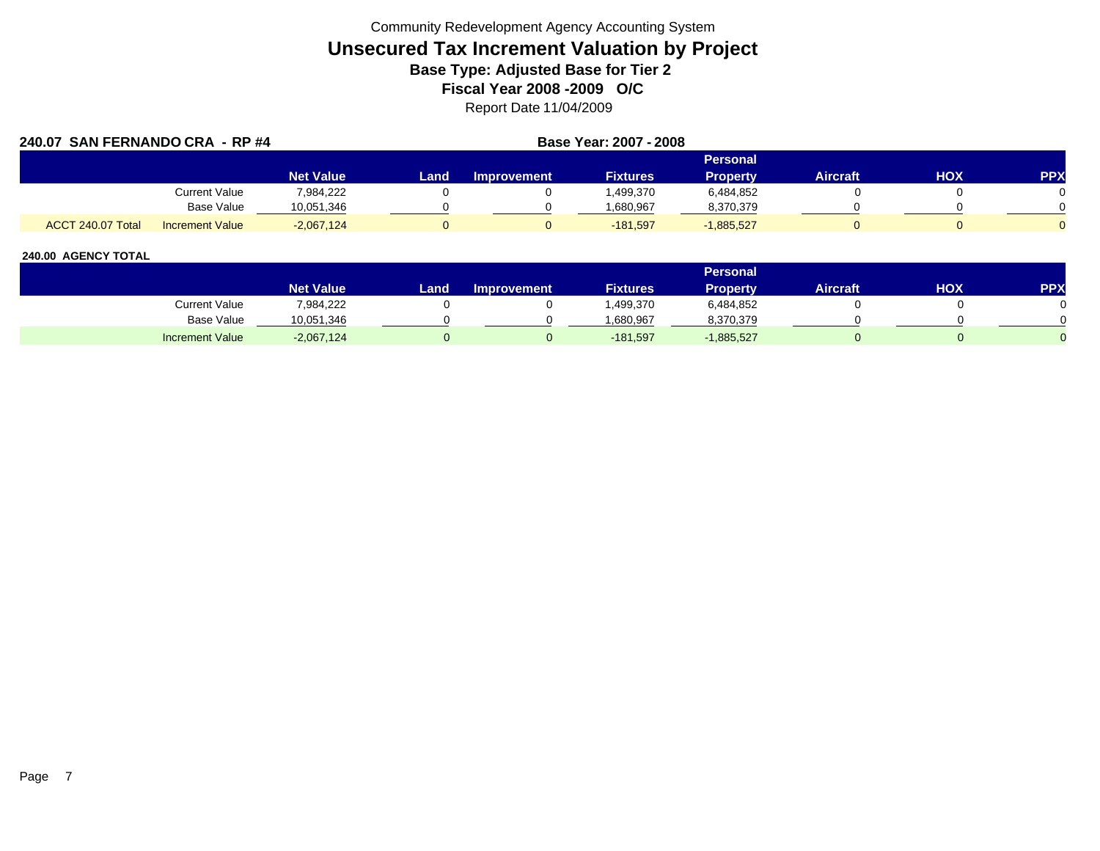| 240.07 SAN FERNANDO CRA - RP #4 |                   |                        |                  |      |                    | Base Year: 2007 - 2008 |                 |          |     |            |  |
|---------------------------------|-------------------|------------------------|------------------|------|--------------------|------------------------|-----------------|----------|-----|------------|--|
|                                 |                   |                        |                  |      | <b>Personal</b>    |                        |                 |          |     |            |  |
|                                 |                   |                        | <b>Net Value</b> | Land | <b>Improvement</b> | <b>Fixtures</b>        | <b>Property</b> | Aircraft | нох | <b>PPX</b> |  |
|                                 |                   | Current Value          | 7,984,222        |      |                    | ,499,370               | 6,484,852       |          |     |            |  |
|                                 |                   | Base Value             | 10,051,346       |      |                    | .680,967               | 8,370,379       |          |     |            |  |
|                                 | ACCT 240.07 Total | <b>Increment Value</b> | $-2,067,124$     |      |                    | $-181,597$             | $-1,885,527$    |          |     |            |  |

|                        |                  |       |                    |                 | <b>Personal</b> |                 |     |     |
|------------------------|------------------|-------|--------------------|-----------------|-----------------|-----------------|-----|-----|
|                        | <b>Net Value</b> | Land. | <b>Improvement</b> | <b>Fixtures</b> | <b>Property</b> | <b>Aircraft</b> | HOX | PPX |
| <b>Current Value</b>   | 7,984,222        |       |                    | ,499,370        | 6,484,852       |                 |     |     |
| <b>Base Value</b>      | 10,051,346       |       |                    | 1.680.967       | 8,370,379       |                 |     |     |
| <b>Increment Value</b> | $-2,067,124$     |       |                    | $-181,597$      | $-1,885,527$    |                 |     |     |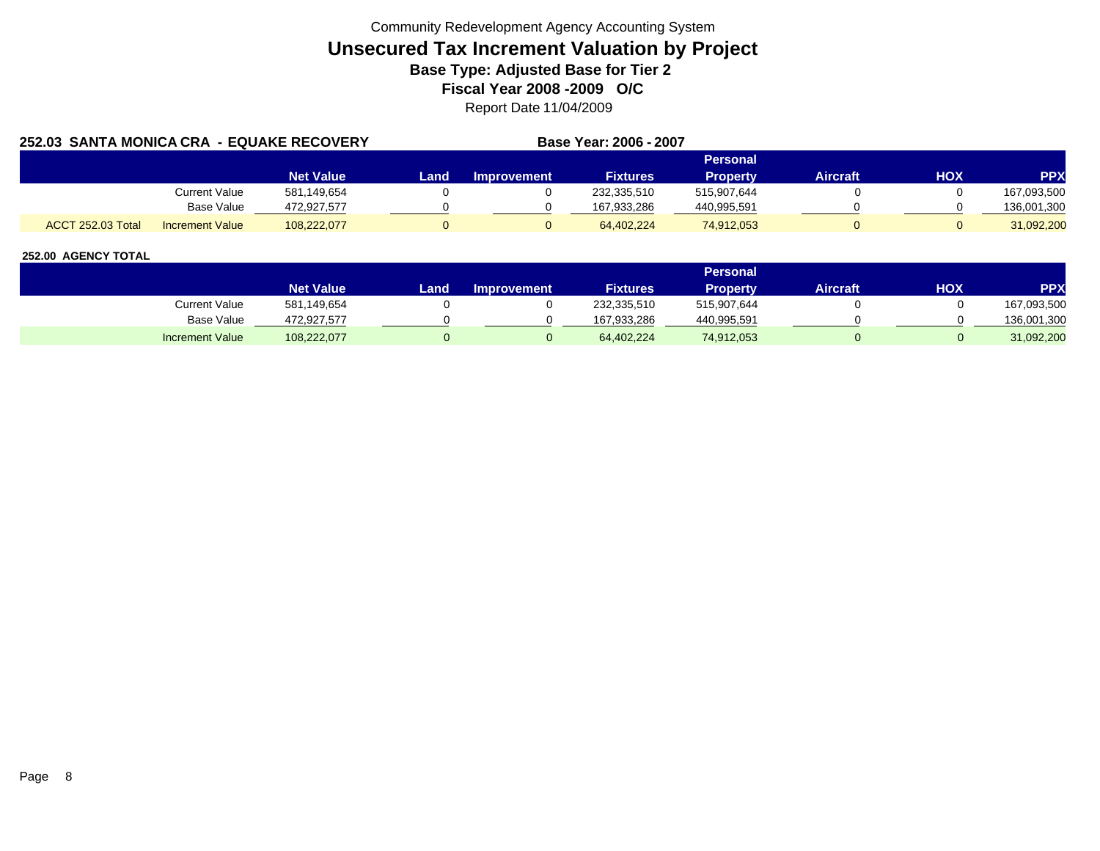| 252.03 SANTA MONICA CRA - EQUAKE RECOVERY | Base Year: 2006 - 2007 |                  |      |                    |                 |                 |          |            |             |
|-------------------------------------------|------------------------|------------------|------|--------------------|-----------------|-----------------|----------|------------|-------------|
|                                           |                        |                  |      |                    |                 | Personal        |          |            |             |
|                                           |                        | <b>Net Value</b> | Land | <b>Improvement</b> | <b>Fixtures</b> | <b>Property</b> | Aircraft | <b>HOX</b> | <b>PPX</b>  |
|                                           | Current Value          | 581,149,654      |      |                    | 232,335,510     | 515.907.644     |          |            | 167,093,500 |
|                                           | Base Value             | 472.927.577      |      |                    | 167.933.286     | 440,995,591     |          |            | 136,001,300 |
| <b>ACCT 252.03 Total</b>                  | <b>Increment Value</b> | 108.222.077      |      |                    | 64.402.224      | 74,912,053      |          |            | 31.092.200  |

|                        |                  |       |                    |                 | <b>Personal</b> |                 |            |             |
|------------------------|------------------|-------|--------------------|-----------------|-----------------|-----------------|------------|-------------|
|                        | <b>Net Value</b> | Land. | <b>Improvement</b> | <b>Fixtures</b> | Propertv        | <b>Aircraft</b> | <b>HOX</b> | PPX         |
| Current Value          | 581,149,654      |       |                    | 232,335,510     | 515,907,644     |                 |            | 167,093,500 |
| <b>Base Value</b>      | 472,927,577      |       |                    | 167,933,286     | 440,995,591     |                 |            | 136,001,300 |
| <b>Increment Value</b> | 108,222,077      |       |                    | 64,402,224      | 74,912,053      |                 |            | 31,092,200  |